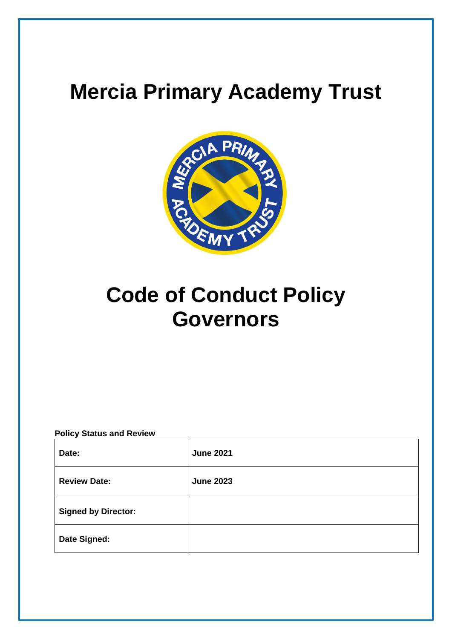# **Mercia Primary Academy Trust**



# **Code of Conduct Policy Governors**

#### **Policy Status and Review**

| Date:                      | <b>June 2021</b> |
|----------------------------|------------------|
| <b>Review Date:</b>        | <b>June 2023</b> |
| <b>Signed by Director:</b> |                  |
| Date Signed:               |                  |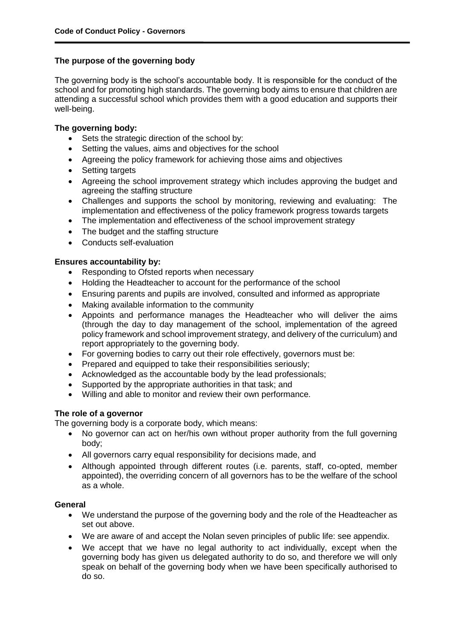# **The purpose of the governing body**

The governing body is the school's accountable body. It is responsible for the conduct of the school and for promoting high standards. The governing body aims to ensure that children are attending a successful school which provides them with a good education and supports their well-being.

#### **The governing body:**

- Sets the strategic direction of the school by:
- Setting the values, aims and objectives for the school
- Agreeing the policy framework for achieving those aims and objectives
- Setting targets
- Agreeing the school improvement strategy which includes approving the budget and agreeing the staffing structure
- Challenges and supports the school by monitoring, reviewing and evaluating: The implementation and effectiveness of the policy framework progress towards targets
- The implementation and effectiveness of the school improvement strategy
- The budget and the staffing structure
- Conducts self-evaluation

# **Ensures accountability by:**

- Responding to Ofsted reports when necessary
- Holding the Headteacher to account for the performance of the school
- Ensuring parents and pupils are involved, consulted and informed as appropriate
- Making available information to the community
- Appoints and performance manages the Headteacher who will deliver the aims (through the day to day management of the school, implementation of the agreed policy framework and school improvement strategy, and delivery of the curriculum) and report appropriately to the governing body.
- For governing bodies to carry out their role effectively, governors must be:
- Prepared and equipped to take their responsibilities seriously;
- Acknowledged as the accountable body by the lead professionals;
- Supported by the appropriate authorities in that task; and
- Willing and able to monitor and review their own performance.

# **The role of a governor**

The governing body is a corporate body, which means:

- No governor can act on her/his own without proper authority from the full governing body;
- All governors carry equal responsibility for decisions made, and
- Although appointed through different routes (i.e. parents, staff, co-opted, member appointed), the overriding concern of all governors has to be the welfare of the school as a whole.

# **General**

- We understand the purpose of the governing body and the role of the Headteacher as set out above.
- We are aware of and accept the Nolan seven principles of public life: see appendix.
- We accept that we have no legal authority to act individually, except when the governing body has given us delegated authority to do so, and therefore we will only speak on behalf of the governing body when we have been specifically authorised to do so.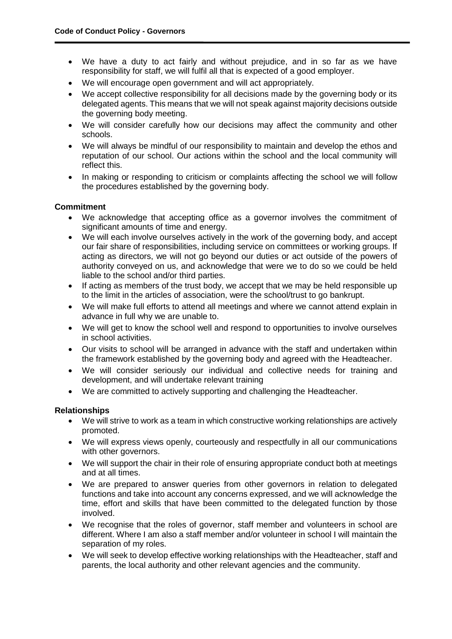- We have a duty to act fairly and without prejudice, and in so far as we have responsibility for staff, we will fulfil all that is expected of a good employer.
- We will encourage open government and will act appropriately.
- We accept collective responsibility for all decisions made by the governing body or its delegated agents. This means that we will not speak against majority decisions outside the governing body meeting.
- We will consider carefully how our decisions may affect the community and other schools.
- We will always be mindful of our responsibility to maintain and develop the ethos and reputation of our school. Our actions within the school and the local community will reflect this.
- In making or responding to criticism or complaints affecting the school we will follow the procedures established by the governing body.

# **Commitment**

- We acknowledge that accepting office as a governor involves the commitment of significant amounts of time and energy.
- We will each involve ourselves actively in the work of the governing body, and accept our fair share of responsibilities, including service on committees or working groups. If acting as directors, we will not go beyond our duties or act outside of the powers of authority conveyed on us, and acknowledge that were we to do so we could be held liable to the school and/or third parties.
- If acting as members of the trust body, we accept that we may be held responsible up to the limit in the articles of association, were the school/trust to go bankrupt.
- We will make full efforts to attend all meetings and where we cannot attend explain in advance in full why we are unable to.
- We will get to know the school well and respond to opportunities to involve ourselves in school activities.
- Our visits to school will be arranged in advance with the staff and undertaken within the framework established by the governing body and agreed with the Headteacher.
- We will consider seriously our individual and collective needs for training and development, and will undertake relevant training
- We are committed to actively supporting and challenging the Headteacher.

# **Relationships**

- We will strive to work as a team in which constructive working relationships are actively promoted.
- We will express views openly, courteously and respectfully in all our communications with other governors.
- We will support the chair in their role of ensuring appropriate conduct both at meetings and at all times.
- We are prepared to answer queries from other governors in relation to delegated functions and take into account any concerns expressed, and we will acknowledge the time, effort and skills that have been committed to the delegated function by those involved.
- We recognise that the roles of governor, staff member and volunteers in school are different. Where I am also a staff member and/or volunteer in school I will maintain the separation of my roles.
- We will seek to develop effective working relationships with the Headteacher, staff and parents, the local authority and other relevant agencies and the community.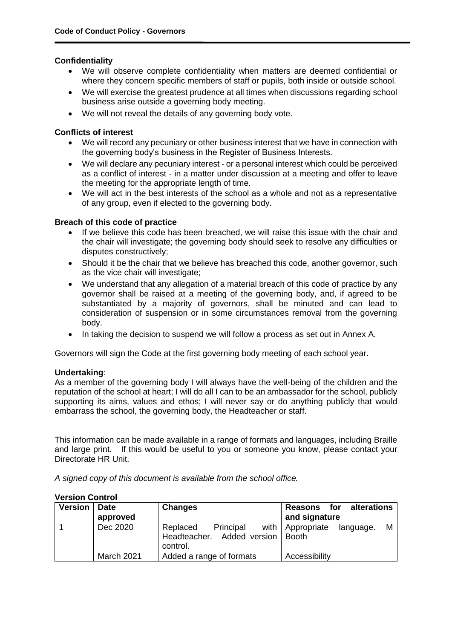# **Confidentiality**

- We will observe complete confidentiality when matters are deemed confidential or where they concern specific members of staff or pupils, both inside or outside school.
- We will exercise the greatest prudence at all times when discussions regarding school business arise outside a governing body meeting.
- We will not reveal the details of any governing body vote.

# **Conflicts of interest**

- We will record any pecuniary or other business interest that we have in connection with the governing body's business in the Register of Business Interests.
- We will declare any pecuniary interest or a personal interest which could be perceived as a conflict of interest - in a matter under discussion at a meeting and offer to leave the meeting for the appropriate length of time.
- We will act in the best interests of the school as a whole and not as a representative of any group, even if elected to the governing body.

# **Breach of this code of practice**

- If we believe this code has been breached, we will raise this issue with the chair and the chair will investigate; the governing body should seek to resolve any difficulties or disputes constructively;
- Should it be the chair that we believe has breached this code, another governor, such as the vice chair will investigate;
- We understand that any allegation of a material breach of this code of practice by any governor shall be raised at a meeting of the governing body, and, if agreed to be substantiated by a majority of governors, shall be minuted and can lead to consideration of suspension or in some circumstances removal from the governing body.
- In taking the decision to suspend we will follow a process as set out in Annex A.

Governors will sign the Code at the first governing body meeting of each school year.

# **Undertaking**:

As a member of the governing body I will always have the well-being of the children and the reputation of the school at heart; I will do all I can to be an ambassador for the school, publicly supporting its aims, values and ethos; I will never say or do anything publicly that would embarrass the school, the governing body, the Headteacher or staff.

This information can be made available in a range of formats and languages, including Braille and large print. If this would be useful to you or someone you know, please contact your Directorate HR Unit.

*A signed copy of this document is available from the school office.*

| Version | <b>Date</b><br>approved | <b>Changes</b>                                                  | Reasons for alterations<br>and signature        |
|---------|-------------------------|-----------------------------------------------------------------|-------------------------------------------------|
|         | Dec 2020                | Principal<br>Replaced<br>Headteacher. Added version<br>control. | with   Appropriate<br>м<br>language.<br>l Booth |
|         | <b>March 2021</b>       | Added a range of formats                                        | Accessibility                                   |

#### **Version Control**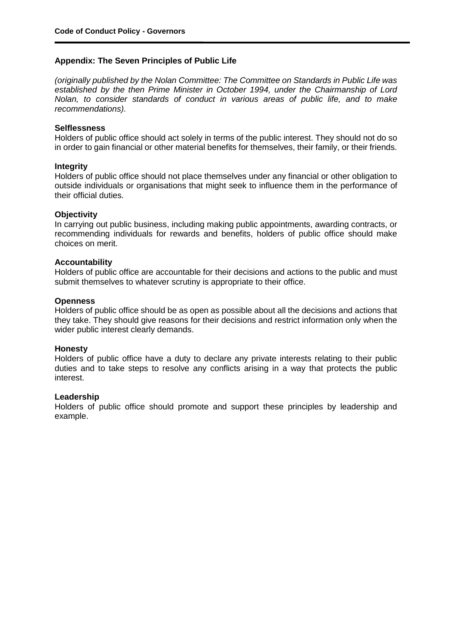## **Appendix: The Seven Principles of Public Life**

*(originally published by the Nolan Committee: The Committee on Standards in Public Life was established by the then Prime Minister in October 1994, under the Chairmanship of Lord Nolan, to consider standards of conduct in various areas of public life, and to make recommendations).* 

#### **Selflessness**

Holders of public office should act solely in terms of the public interest. They should not do so in order to gain financial or other material benefits for themselves, their family, or their friends.

#### **Integrity**

Holders of public office should not place themselves under any financial or other obligation to outside individuals or organisations that might seek to influence them in the performance of their official duties.

#### **Objectivity**

In carrying out public business, including making public appointments, awarding contracts, or recommending individuals for rewards and benefits, holders of public office should make choices on merit.

#### **Accountability**

Holders of public office are accountable for their decisions and actions to the public and must submit themselves to whatever scrutiny is appropriate to their office.

#### **Openness**

Holders of public office should be as open as possible about all the decisions and actions that they take. They should give reasons for their decisions and restrict information only when the wider public interest clearly demands.

#### **Honesty**

Holders of public office have a duty to declare any private interests relating to their public duties and to take steps to resolve any conflicts arising in a way that protects the public interest.

#### **Leadership**

Holders of public office should promote and support these principles by leadership and example.